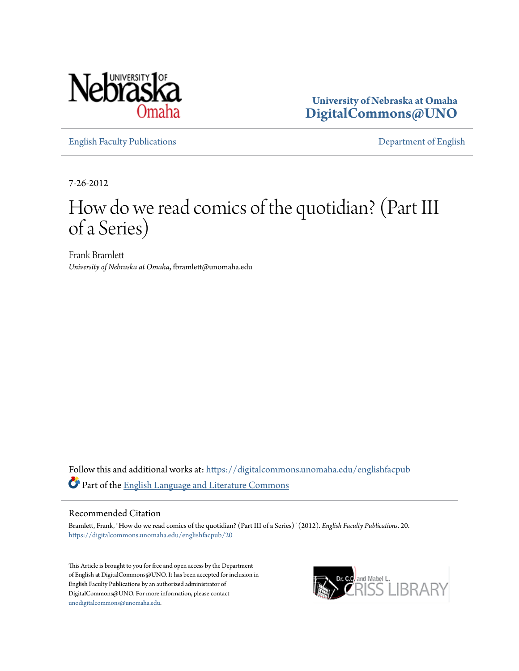

**University of Nebraska at Omaha [DigitalCommons@UNO](https://digitalcommons.unomaha.edu?utm_source=digitalcommons.unomaha.edu%2Fenglishfacpub%2F20&utm_medium=PDF&utm_campaign=PDFCoverPages)**

[English Faculty Publications](https://digitalcommons.unomaha.edu/englishfacpub?utm_source=digitalcommons.unomaha.edu%2Fenglishfacpub%2F20&utm_medium=PDF&utm_campaign=PDFCoverPages) [Department of English](https://digitalcommons.unomaha.edu/english?utm_source=digitalcommons.unomaha.edu%2Fenglishfacpub%2F20&utm_medium=PDF&utm_campaign=PDFCoverPages)

7-26-2012

## How do we read comics of the quotidian? (Part III of a Series)

Frank Bramlett *University of Nebraska at Omaha*, fbramlett@unomaha.edu

Follow this and additional works at: [https://digitalcommons.unomaha.edu/englishfacpub](https://digitalcommons.unomaha.edu/englishfacpub?utm_source=digitalcommons.unomaha.edu%2Fenglishfacpub%2F20&utm_medium=PDF&utm_campaign=PDFCoverPages) Part of the [English Language and Literature Commons](http://network.bepress.com/hgg/discipline/455?utm_source=digitalcommons.unomaha.edu%2Fenglishfacpub%2F20&utm_medium=PDF&utm_campaign=PDFCoverPages)

#### Recommended Citation

Bramlett, Frank, "How do we read comics of the quotidian? (Part III of a Series)" (2012). *English Faculty Publications*. 20. [https://digitalcommons.unomaha.edu/englishfacpub/20](https://digitalcommons.unomaha.edu/englishfacpub/20?utm_source=digitalcommons.unomaha.edu%2Fenglishfacpub%2F20&utm_medium=PDF&utm_campaign=PDFCoverPages)

This Article is brought to you for free and open access by the Department of English at DigitalCommons@UNO. It has been accepted for inclusion in English Faculty Publications by an authorized administrator of DigitalCommons@UNO. For more information, please contact [unodigitalcommons@unomaha.edu](mailto:unodigitalcommons@unomaha.edu).

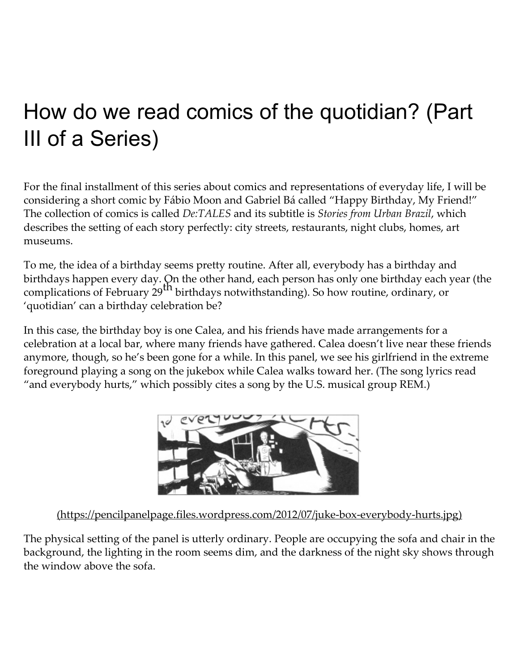# How do we read comics of the quotidian? (Part III of a Series)

For the final installment of this series about comics and representations of everyday life, I will be considering a short comic by Fábio Moon and Gabriel Bá called "Happy Birthday, My Friend!" The collection of comics is called De:TALES and its subtitle is Stories from Urban Brazil, which describes the setting of each story perfectly: city streets, restaurants, night clubs, homes, art museums.

To me, the idea of a birthday seems pretty routine. After all, everybody has a birthday and birthdays happen every day. On the other hand, each person has only one birthday each year (the complications of February  $29^{\text{th}}$  birthdays notwithstanding). So how routine, ordinary, or 'quotidian' can a birthday celebration be?

In this case, the birthday boy is one Calea, and his friends have made arrangements for a celebration at a local bar, where many friends have gathered. Calea doesn't live near these friends anymore, though, so he's been gone for a while. In this panel, we see his girlfriend in the extreme foreground playing a song on the jukebox while Calea walks toward her. (The song lyrics read "and everybody hurts," which possibly cites a song by the U.S. musical group REM.)



[\(https://pencilpanelpage.files.wordpress.com/2012/07/juke‑box‑everybody‑hurts.jpg\)](https://pencilpanelpage.files.wordpress.com/2012/07/juke-box-everybody-hurts.jpg)

The physical setting of the panel is utterly ordinary. People are occupying the sofa and chair in the background, the lighting in the room seems dim, and the darkness of the night sky shows through the window above the sofa.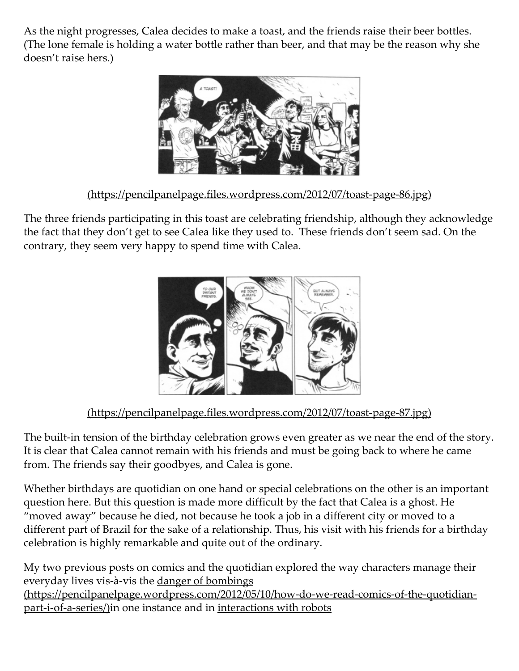As the night progresses, Calea decides to make a toast, and the friends raise their beer bottles. (The lone female is holding a water bottle rather than beer, and that may be the reason why she doesn't raise hers.)



(https://pencilpanelpage.files.wordpress.com/2012/07/toast‑page‑86.jpg)

The three friends participating in this toast are celebrating friendship, although they acknowledge the fact that they don't get to see Calea like they used to. These friends don't seem sad. On the contrary, they seem very happy to spend time with Calea.



### [\(https://pencilpanelpage.files.wordpress.com/2012/07/toast‑page‑87.jpg\)](https://pencilpanelpage.files.wordpress.com/2012/07/toast-page-87.jpg)

The built-in tension of the birthday celebration grows even greater as we near the end of the story. It is clear that Calea cannot remain with his friends and must be going back to where he came from. The friends say their goodbyes, and Calea is gone.

Whether birthdays are quotidian on one hand or special celebrations on the other is an important question here. But this question is made more difficult by the fact that Calea is a ghost. He "moved away" because he died, not because he took a job in a different city or moved to a different part of Brazil for the sake of a relationship. Thus, his visit with his friends for a birthday celebration is highly remarkable and quite out of the ordinary.

My two previous posts on comics and the quotidian explored the way characters manage their everyday lives vis-à-vis the danger of bombings [\(https://pencilpanelpage.wordpress.com/2012/05/10/how‑do‑we‑read‑comics‑of‑the‑quotidian‑](https://pencilpanelpage.wordpress.com/2012/05/10/how-do-we-read-comics-of-the-quotidian-part-i-of-a-series/) part-i-of-a-series/)in one instance and in interactions with robots